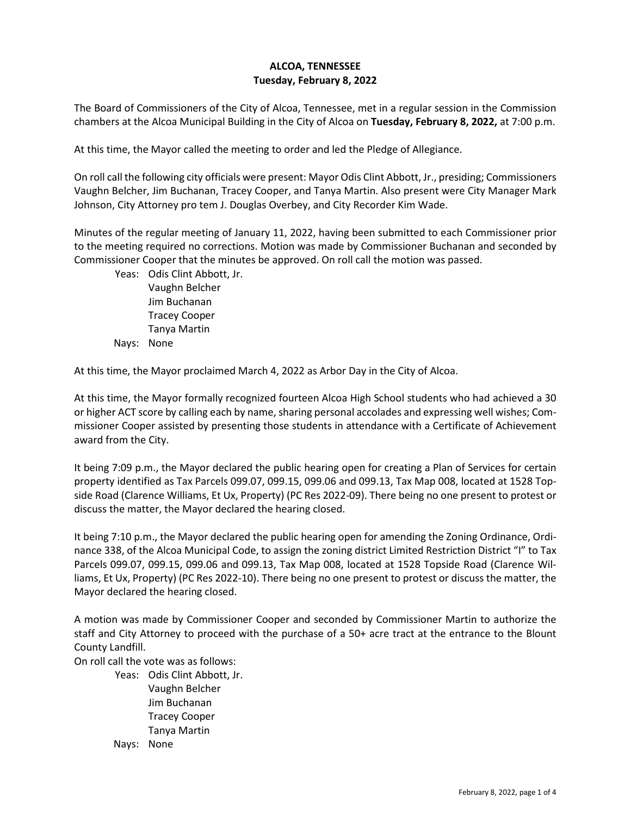## **ALCOA, TENNESSEE Tuesday, February 8, 2022**

The Board of Commissioners of the City of Alcoa, Tennessee, met in a regular session in the Commission chambers at the Alcoa Municipal Building in the City of Alcoa on **Tuesday, February 8, 2022,** at 7:00 p.m.

At this time, the Mayor called the meeting to order and led the Pledge of Allegiance.

On roll call the following city officials were present: Mayor Odis Clint Abbott, Jr., presiding; Commissioners Vaughn Belcher, Jim Buchanan, Tracey Cooper, and Tanya Martin. Also present were City Manager Mark Johnson, City Attorney pro tem J. Douglas Overbey, and City Recorder Kim Wade.

Minutes of the regular meeting of January 11, 2022, having been submitted to each Commissioner prior to the meeting required no corrections. Motion was made by Commissioner Buchanan and seconded by Commissioner Cooper that the minutes be approved. On roll call the motion was passed.

Yeas: Odis Clint Abbott, Jr. Vaughn Belcher Jim Buchanan Tracey Cooper Tanya Martin Nays: None

At this time, the Mayor proclaimed March 4, 2022 as Arbor Day in the City of Alcoa.

At this time, the Mayor formally recognized fourteen Alcoa High School students who had achieved a 30 or higher ACT score by calling each by name, sharing personal accolades and expressing well wishes; Commissioner Cooper assisted by presenting those students in attendance with a Certificate of Achievement award from the City.

It being 7:09 p.m., the Mayor declared the public hearing open for creating a Plan of Services for certain property identified as Tax Parcels 099.07, 099.15, 099.06 and 099.13, Tax Map 008, located at 1528 Topside Road (Clarence Williams, Et Ux, Property) (PC Res 2022-09). There being no one present to protest or discuss the matter, the Mayor declared the hearing closed.

It being 7:10 p.m., the Mayor declared the public hearing open for amending the Zoning Ordinance, Ordinance 338, of the Alcoa Municipal Code, to assign the zoning district Limited Restriction District "I" to Tax Parcels 099.07, 099.15, 099.06 and 099.13, Tax Map 008, located at 1528 Topside Road (Clarence Williams, Et Ux, Property) (PC Res 2022-10). There being no one present to protest or discuss the matter, the Mayor declared the hearing closed.

A motion was made by Commissioner Cooper and seconded by Commissioner Martin to authorize the staff and City Attorney to proceed with the purchase of a 50+ acre tract at the entrance to the Blount County Landfill.

On roll call the vote was as follows:

Yeas: Odis Clint Abbott, Jr. Vaughn Belcher Jim Buchanan Tracey Cooper Tanya Martin Nays: None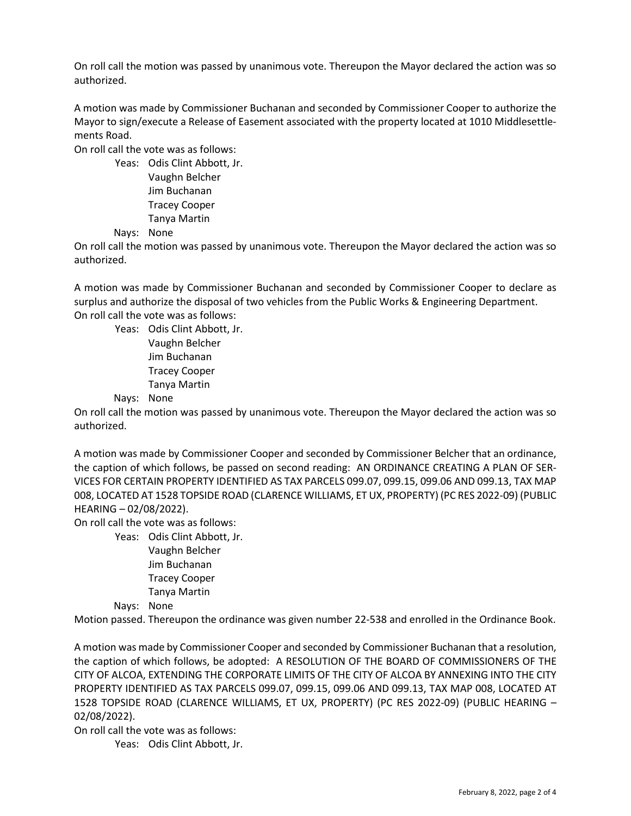On roll call the motion was passed by unanimous vote. Thereupon the Mayor declared the action was so authorized.

A motion was made by Commissioner Buchanan and seconded by Commissioner Cooper to authorize the Mayor to sign/execute a Release of Easement associated with the property located at 1010 Middlesettlements Road.

On roll call the vote was as follows:

Yeas: Odis Clint Abbott, Jr. Vaughn Belcher Jim Buchanan Tracey Cooper Tanya Martin

Nays: None

On roll call the motion was passed by unanimous vote. Thereupon the Mayor declared the action was so authorized.

A motion was made by Commissioner Buchanan and seconded by Commissioner Cooper to declare as surplus and authorize the disposal of two vehicles from the Public Works & Engineering Department. On roll call the vote was as follows:

Yeas: Odis Clint Abbott, Jr. Vaughn Belcher Jim Buchanan Tracey Cooper Tanya Martin

Nays: None

On roll call the motion was passed by unanimous vote. Thereupon the Mayor declared the action was so authorized.

A motion was made by Commissioner Cooper and seconded by Commissioner Belcher that an ordinance, the caption of which follows, be passed on second reading: AN ORDINANCE CREATING A PLAN OF SER-VICES FOR CERTAIN PROPERTY IDENTIFIED AS TAX PARCELS 099.07, 099.15, 099.06 AND 099.13, TAX MAP 008, LOCATED AT 1528 TOPSIDE ROAD (CLARENCE WILLIAMS, ET UX, PROPERTY) (PC RES 2022-09) (PUBLIC HEARING – 02/08/2022).

On roll call the vote was as follows:

Yeas: Odis Clint Abbott, Jr. Vaughn Belcher Jim Buchanan Tracey Cooper Tanya Martin

Nays: None

Motion passed. Thereupon the ordinance was given number 22-538 and enrolled in the Ordinance Book.

A motion was made by Commissioner Cooper and seconded by Commissioner Buchanan that a resolution, the caption of which follows, be adopted: A RESOLUTION OF THE BOARD OF COMMISSIONERS OF THE CITY OF ALCOA, EXTENDING THE CORPORATE LIMITS OF THE CITY OF ALCOA BY ANNEXING INTO THE CITY PROPERTY IDENTIFIED AS TAX PARCELS 099.07, 099.15, 099.06 AND 099.13, TAX MAP 008, LOCATED AT 1528 TOPSIDE ROAD (CLARENCE WILLIAMS, ET UX, PROPERTY) (PC RES 2022-09) (PUBLIC HEARING – 02/08/2022).

On roll call the vote was as follows:

Yeas: Odis Clint Abbott, Jr.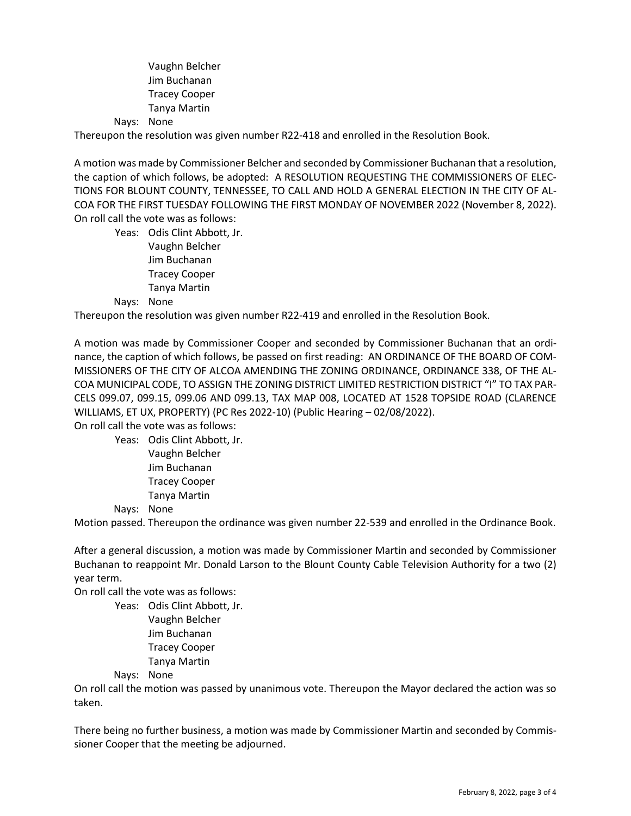Vaughn Belcher Jim Buchanan Tracey Cooper Tanya Martin

Nays: None

Thereupon the resolution was given number R22-418 and enrolled in the Resolution Book.

A motion was made by Commissioner Belcher and seconded by Commissioner Buchanan that a resolution, the caption of which follows, be adopted: A RESOLUTION REQUESTING THE COMMISSIONERS OF ELEC-TIONS FOR BLOUNT COUNTY, TENNESSEE, TO CALL AND HOLD A GENERAL ELECTION IN THE CITY OF AL-COA FOR THE FIRST TUESDAY FOLLOWING THE FIRST MONDAY OF NOVEMBER 2022 (November 8, 2022). On roll call the vote was as follows:

Yeas: Odis Clint Abbott, Jr. Vaughn Belcher Jim Buchanan Tracey Cooper Tanya Martin

## Nays: None

Thereupon the resolution was given number R22-419 and enrolled in the Resolution Book.

A motion was made by Commissioner Cooper and seconded by Commissioner Buchanan that an ordinance, the caption of which follows, be passed on first reading: AN ORDINANCE OF THE BOARD OF COM-MISSIONERS OF THE CITY OF ALCOA AMENDING THE ZONING ORDINANCE, ORDINANCE 338, OF THE AL-COA MUNICIPAL CODE, TO ASSIGN THE ZONING DISTRICT LIMITED RESTRICTION DISTRICT "I" TO TAX PAR-CELS 099.07, 099.15, 099.06 AND 099.13, TAX MAP 008, LOCATED AT 1528 TOPSIDE ROAD (CLARENCE WILLIAMS, ET UX, PROPERTY) (PC Res 2022-10) (Public Hearing – 02/08/2022).

On roll call the vote was as follows:

Yeas: Odis Clint Abbott, Jr. Vaughn Belcher

Jim Buchanan Tracey Cooper Tanya Martin

Nays: None

Motion passed. Thereupon the ordinance was given number 22-539 and enrolled in the Ordinance Book.

After a general discussion, a motion was made by Commissioner Martin and seconded by Commissioner Buchanan to reappoint Mr. Donald Larson to the Blount County Cable Television Authority for a two (2) year term.

On roll call the vote was as follows:

Yeas: Odis Clint Abbott, Jr. Vaughn Belcher Jim Buchanan Tracey Cooper Tanya Martin

Nays: None

On roll call the motion was passed by unanimous vote. Thereupon the Mayor declared the action was so taken.

There being no further business, a motion was made by Commissioner Martin and seconded by Commissioner Cooper that the meeting be adjourned.